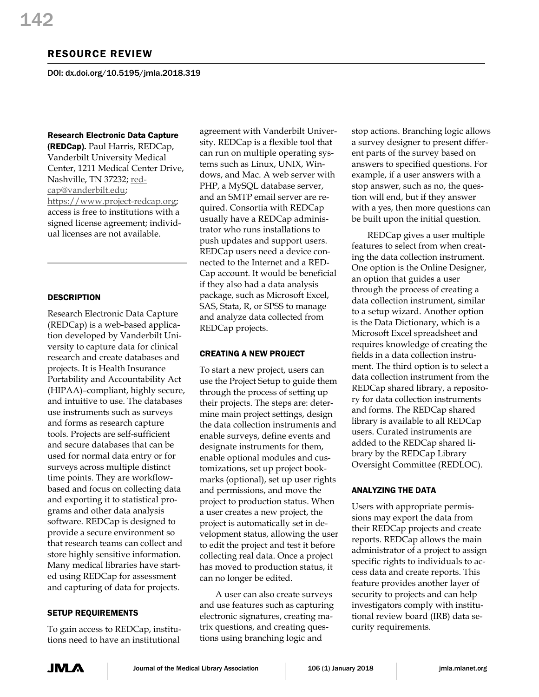# RESOURCE REVIEW

DOI: dx.doi.org/10.5195/jmla.2018.319

## Research Electronic Data Capture

(REDCap). Paul Harris, REDCap, Vanderbilt University Medical Center, 1211 Medical Center Drive, Nashville, TN 37232[; red](mailto:redcap@vanderbilt.edu)[cap@vanderbilt.edu;](mailto:redcap@vanderbilt.edu)  [https://www.project-redcap.org;](https://www.project-redcap.org/) access is free to institutions with a signed license agreement; individual licenses are not available.

# **DESCRIPTION**

Research Electronic Data Capture (REDCap) is a web-based application developed by Vanderbilt University to capture data for clinical research and create databases and projects. It is Health Insurance Portability and Accountability Act (HIPAA)–compliant, highly secure, and intuitive to use. The databases use instruments such as surveys and forms as research capture tools. Projects are self-sufficient and secure databases that can be used for normal data entry or for surveys across multiple distinct time points. They are workflowbased and focus on collecting data and exporting it to statistical programs and other data analysis software. REDCap is designed to provide a secure environment so that research teams can collect and store highly sensitive information. Many medical libraries have started using REDCap for assessment and capturing of data for projects.

## SETUP REQUIREMENTS

To gain access to REDCap, institutions need to have an institutional

agreement with Vanderbilt University. REDCap is a flexible tool that can run on multiple operating systems such as Linux, UNIX, Windows, and Mac. A web server with PHP, a MySQL database server, and an SMTP email server are required. Consortia with REDCap usually have a REDCap administrator who runs installations to push updates and support users. REDCap users need a device connected to the Internet and a RED-Cap account. It would be beneficial if they also had a data analysis package, such as Microsoft Excel, SAS, Stata, R, or SPSS to manage and analyze data collected from REDCap projects.

# CREATING A NEW PROJECT

To start a new project, users can use the Project Setup to guide them through the process of setting up their projects. The steps are: determine main project settings, design the data collection instruments and enable surveys, define events and designate instruments for them, enable optional modules and customizations, set up project bookmarks (optional), set up user rights and permissions, and move the project to production status. When a user creates a new project, the project is automatically set in development status, allowing the user to edit the project and test it before collecting real data. Once a project has moved to production status, it can no longer be edited.

A user can also create surveys and use features such as capturing electronic signatures, creating matrix questions, and creating questions using branching logic and

stop actions. Branching logic allows a survey designer to present different parts of the survey based on answers to specified questions. For example, if a user answers with a stop answer, such as no, the question will end, but if they answer with a yes, then more questions can be built upon the initial question.

REDCap gives a user multiple features to select from when creating the data collection instrument. One option is the Online Designer, an option that guides a user through the process of creating a data collection instrument, similar to a setup wizard. Another option is the Data Dictionary, which is a Microsoft Excel spreadsheet and requires knowledge of creating the fields in a data collection instrument. The third option is to select a data collection instrument from the REDCap shared library, a repository for data collection instruments and forms. The REDCap shared library is available to all REDCap users. Curated instruments are added to the REDCap shared library by the REDCap Library Oversight Committee (REDLOC).

## ANALYZING THE DATA

Users with appropriate permissions may export the data from their REDCap projects and create reports. REDCap allows the main administrator of a project to assign specific rights to individuals to access data and create reports. This feature provides another layer of security to projects and can help investigators comply with institutional review board (IRB) data security requirements.

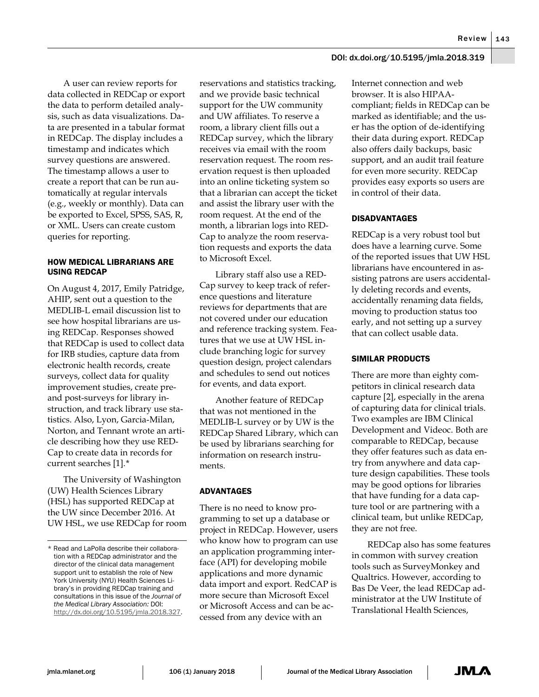Review 143

## DOI: dx.doi.org/10.5195/jmla.2018.319

A user can review reports for data collected in REDCap or export the data to perform detailed analysis, such as data visualizations. Data are presented in a tabular format in REDCap. The display includes a timestamp and indicates which survey questions are answered. The timestamp allows a user to create a report that can be run automatically at regular intervals (e.g., weekly or monthly). Data can be exported to Excel, SPSS, SAS, R, or XML. Users can create custom queries for reporting.

## HOW MEDICAL LIBRARIANS ARE USING REDCAP

On August 4, 2017, Emily Patridge, AHIP, sent out a question to the MEDLIB-L email discussion list to see how hospital librarians are using REDCap. Responses showed that REDCap is used to collect data for IRB studies, capture data from electronic health records, create surveys, collect data for quality improvement studies, create preand post-surveys for library instruction, and track library use statistics. Also, Lyon, Garcia-Milan, Norton, and Tennant wrote an article describing how they use RED-Cap to create data in records for current searches [1].[\\*](#page-1-0)

The University of Washington (UW) Health Sciences Library (HSL) has supported REDCap at the UW since December 2016. At UW HSL, we use REDCap for room reservations and statistics tracking, and we provide basic technical support for the UW community and UW affiliates. To reserve a room, a library client fills out a REDCap survey, which the library receives via email with the room reservation request. The room reservation request is then uploaded into an online ticketing system so that a librarian can accept the ticket and assist the library user with the room request. At the end of the month, a librarian logs into RED-Cap to analyze the room reservation requests and exports the data to Microsoft Excel.

Library staff also use a RED-Cap survey to keep track of reference questions and literature reviews for departments that are not covered under our education and reference tracking system. Features that we use at UW HSL include branching logic for survey question design, project calendars and schedules to send out notices for events, and data export.

Another feature of REDCap that was not mentioned in the MEDLIB-L survey or by UW is the REDCap Shared Library, which can be used by librarians searching for information on research instruments.

# ADVANTAGES

There is no need to know programming to set up a database or project in REDCap. However, users who know how to program can use an application programming interface (API) for developing mobile applications and more dynamic data import and export. RedCAP is more secure than Microsoft Excel or Microsoft Access and can be accessed from any device with an

Internet connection and web browser. It is also HIPAAcompliant; fields in REDCap can be marked as identifiable; and the user has the option of de-identifying their data during export. REDCap also offers daily backups, basic support, and an audit trail feature for even more security. REDCap provides easy exports so users are in control of their data.

# DISADVANTAGES

REDCap is a very robust tool but does have a learning curve. Some of the reported issues that UW HSL librarians have encountered in assisting patrons are users accidentally deleting records and events, accidentally renaming data fields, moving to production status too early, and not setting up a survey that can collect usable data.

## SIMILAR PRODUCTS

There are more than eighty competitors in clinical research data capture [2], especially in the arena of capturing data for clinical trials. Two examples are IBM Clinical Development and Videoc. Both are comparable to REDCap, because they offer features such as data entry from anywhere and data capture design capabilities. These tools may be good options for libraries that have funding for a data capture tool or are partnering with a clinical team, but unlike REDCap, they are not free.

REDCap also has some features in common with survey creation tools such as SurveyMonkey and Qualtrics. However, according to Bas De Veer, the lead REDCap administrator at the UW Institute of Translational Health Sciences,

<span id="page-1-0"></span> $\overline{a}$ \* Read and LaPolla describe their collaboration with a REDCap administrator and the director of the clinical data management support unit to establish the role of New York University (NYU) Health Sciences Library's in providing REDCap training and consultations in this issue of the *Journal of the Medical Library Association:* DOI: [http://dx.doi.org/10.5195/jmla.2018.327.](http://dx.doi.org/10.5195/jmla.2018.327)